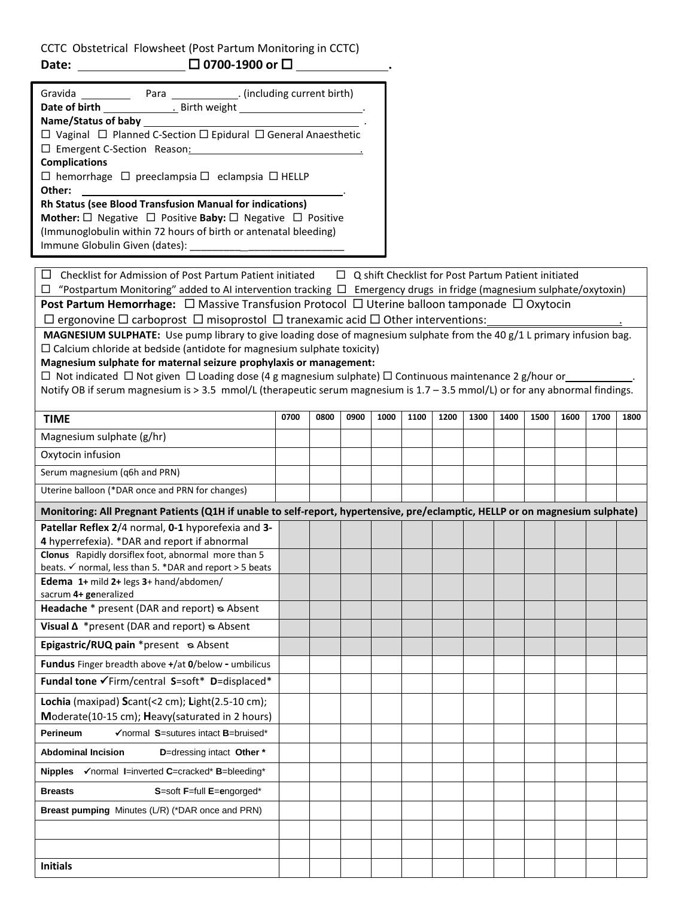CCTC Obstetrical Flowsheet (Post Partum Monitoring in CCTC) **Date: \_\_\_\_\_\_\_\_\_\_\_\_\_\_\_\_\_\_\_\_\_\_ □ 0700-1900 or □ \_\_\_** 

| Gravida _________                                                                           |  | Para [10] (including current birth)                                                       |  |  |  |  |  |  |  |  |
|---------------------------------------------------------------------------------------------|--|-------------------------------------------------------------------------------------------|--|--|--|--|--|--|--|--|
|                                                                                             |  |                                                                                           |  |  |  |  |  |  |  |  |
| Name/Status of baby _______________                                                         |  | the control of the control of the control of the control of the control of the control of |  |  |  |  |  |  |  |  |
| $\Box$ Vaginal $\Box$ Planned C-Section $\Box$ Epidural $\Box$ General Anaesthetic          |  |                                                                                           |  |  |  |  |  |  |  |  |
| □ Emergent C-Section Reason: University Present C-Section Reason:                           |  |                                                                                           |  |  |  |  |  |  |  |  |
| <b>Complications</b>                                                                        |  |                                                                                           |  |  |  |  |  |  |  |  |
| $\Box$ hemorrhage $\Box$ preeclampsia $\Box$ eclampsia $\Box$ HELLP                         |  |                                                                                           |  |  |  |  |  |  |  |  |
| Other:                                                                                      |  |                                                                                           |  |  |  |  |  |  |  |  |
| <b>Rh Status (see Blood Transfusion Manual for indications)</b>                             |  |                                                                                           |  |  |  |  |  |  |  |  |
| <b>Mother:</b> $\Box$ Negative $\Box$ Positive <b>Baby:</b> $\Box$ Negative $\Box$ Positive |  |                                                                                           |  |  |  |  |  |  |  |  |
|                                                                                             |  | (Immunoglobulin within 72 hours of birth or antenatal bleeding)                           |  |  |  |  |  |  |  |  |
| Immune Globulin Given (dates): _______                                                      |  |                                                                                           |  |  |  |  |  |  |  |  |
|                                                                                             |  |                                                                                           |  |  |  |  |  |  |  |  |

 $\Box$  Checklist for Admission of Post Partum Patient initiated  $\Box$  Q shift Checklist for Post Partum Patient initiated

 $\Box$  "Postpartum Monitoring" added to AI intervention tracking  $\Box$  Emergency drugs in fridge (magnesium sulphate/oxytoxin) **Post Partum Hemorrhage:** □ Massive Transfusion Protocol □ Uterine balloon tamponade □ Oxytocin  $\Box$  ergonovine  $\Box$  carboprost  $\Box$  misoprostol  $\Box$  tranexamic acid  $\Box$  Other interventions:

**MAGNESIUM SULPHATE:** Use pump library to give loading dose of magnesium sulphate from the 40 g/1 L primary infusion bag.

 $\Box$  Calcium chloride at bedside (antidote for magnesium sulphate toxicity)

**Magnesium sulphate for maternal seizure prophylaxis or management:** 

 $\Box$  Not indicated  $\Box$  Not given  $\Box$  Loading dose (4 g magnesium sulphate)  $\Box$  Continuous maintenance 2 g/hour or

Notify OB if serum magnesium is > 3.5 mmol/L (therapeutic serum magnesium is 1.7 – 3.5 mmol/L) or for any abnormal findings.

| <b>TIME</b>                                                                                                                   | 0700 | 0800 | 0900 | 1000 | 1100 | 1200 | 1300 | 1400 | 1500 | 1600 | 1700 | 1800 |
|-------------------------------------------------------------------------------------------------------------------------------|------|------|------|------|------|------|------|------|------|------|------|------|
| Magnesium sulphate (g/hr)                                                                                                     |      |      |      |      |      |      |      |      |      |      |      |      |
| Oxytocin infusion                                                                                                             |      |      |      |      |      |      |      |      |      |      |      |      |
| Serum magnesium (q6h and PRN)                                                                                                 |      |      |      |      |      |      |      |      |      |      |      |      |
| Uterine balloon (*DAR once and PRN for changes)                                                                               |      |      |      |      |      |      |      |      |      |      |      |      |
| Monitoring: All Pregnant Patients (Q1H if unable to self-report, hypertensive, pre/eclamptic, HELLP or on magnesium sulphate) |      |      |      |      |      |      |      |      |      |      |      |      |
| Patellar Reflex 2/4 normal, 0-1 hyporefexia and 3-<br>4 hyperrefexia). *DAR and report if abnormal                            |      |      |      |      |      |      |      |      |      |      |      |      |
| Clonus Rapidly dorsiflex foot, abnormal more than 5<br>beats. v normal, less than 5. *DAR and report > 5 beats                |      |      |      |      |      |      |      |      |      |      |      |      |
| Edema 1+ mild 2+ legs 3+ hand/abdomen/<br>sacrum 4+ generalized                                                               |      |      |      |      |      |      |      |      |      |      |      |      |
| Headache * present (DAR and report) & Absent                                                                                  |      |      |      |      |      |      |      |      |      |      |      |      |
| Visual $\Delta$ *present (DAR and report) $\infty$ Absent                                                                     |      |      |      |      |      |      |      |      |      |      |      |      |
| Epigastric/RUQ pain *present & Absent                                                                                         |      |      |      |      |      |      |      |      |      |      |      |      |
| Fundus Finger breadth above +/at 0/below - umbilicus                                                                          |      |      |      |      |      |      |      |      |      |      |      |      |
| Fundal tone VFirm/central S=soft* D=displaced*                                                                                |      |      |      |      |      |      |      |      |      |      |      |      |
| Lochia (maxipad) Scant(<2 cm); Light(2.5-10 cm);<br>Moderate(10-15 cm); Heavy(saturated in 2 hours)                           |      |      |      |      |      |      |      |      |      |      |      |      |
| <b>Perineum</b><br>√normal S=sutures intact B=bruised*                                                                        |      |      |      |      |      |      |      |      |      |      |      |      |
| <b>Abdominal Incision</b><br>D=dressing intact Other *                                                                        |      |      |      |      |      |      |      |      |      |      |      |      |
|                                                                                                                               |      |      |      |      |      |      |      |      |      |      |      |      |
| <b>Breasts</b><br>S=soft F=full E=engorged*                                                                                   |      |      |      |      |      |      |      |      |      |      |      |      |
| Breast pumping Minutes (L/R) (*DAR once and PRN)                                                                              |      |      |      |      |      |      |      |      |      |      |      |      |
|                                                                                                                               |      |      |      |      |      |      |      |      |      |      |      |      |
|                                                                                                                               |      |      |      |      |      |      |      |      |      |      |      |      |
| <b>Initials</b>                                                                                                               |      |      |      |      |      |      |      |      |      |      |      |      |